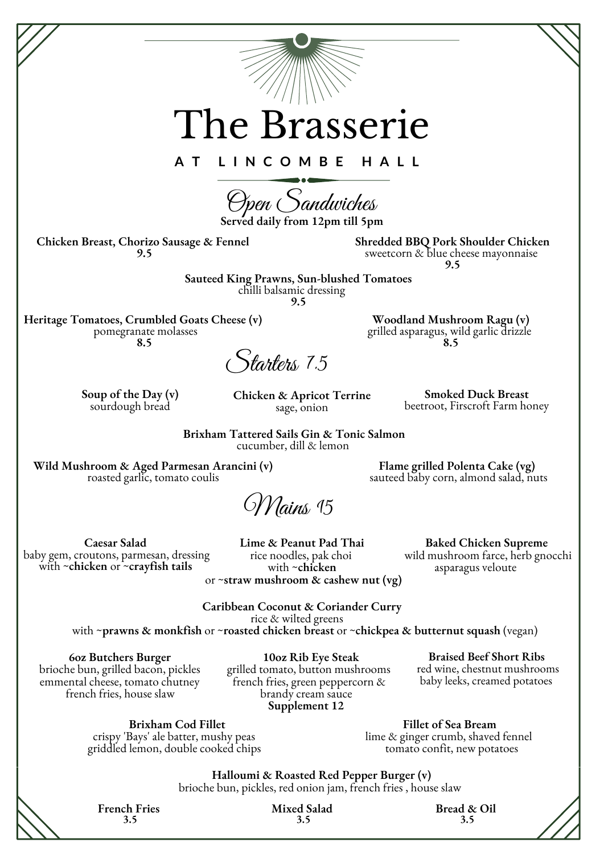The Brasserie **A T L I N C O M B E H A L L** Open Sandwiches **Soup of the Day (v)** sourdough bread **Wild Mushroom & Aged Parmesan Arancini (v)** roasted garlic, tomato coulis **Brixham Tattered Sails Gin & Tonic Salmon** cucumber, dill & lemon **Smoked Duck Breast** beetroot, Firscroft Farm honey **Chicken & Apricot Terrine** sage, onion Starters 7.5 **Chicken Breast, Chorizo Sausage & Fennel 9.5 Shredded BBQ Pork Shoulder Chicken** sweetcorn & blue cheese mayonnaise **9.5 Sauteed King Prawns, Sun-blushed Tomatoes** chilli balsamic dressing **9.5 Woodland Mushroom Ragu (v)** grilled asparagus, wild garlic drizzle **8.5** Mains 15 **Caesar Salad** baby gem, croutons, parmesan, dressing with ~**chicken** or ~**crayfish tails Baked Chicken Supreme** wild mushroom farce, herb gnocchi asparagus veloute **Caribbean Coconut & Coriander Curry** rice & wilted greens with ~**prawns & monkfish** or ~**roasted chicken breast** or ~**chickpea & butternut squash** (vegan) **6oz Butchers Burger** brioche bun, grilled bacon, pickles emmental cheese, tomato chutney french fries, house slaw **Braised Beef Short Ribs** red wine, chestnut mushrooms baby leeks, creamed potatoes **10oz Rib Eye Steak** grilled tomato, button mushrooms french fries, green peppercorn & brandy cream sauce **Supplement 12 Brixham Cod Fillet Fillet of Sea Bream Lime & Peanut Pad Thai** rice noodles, pak choi with ~**chicken** or ~**straw mushroom & cashew nut (vg) Served daily from 12pm till 5pm Heritage Tomatoes, Crumbled Goats Cheese (v)** pomegranate molasses **8.5 Flame grilled Polenta Cake (vg)** sauteed baby corn, almond salad, nuts

crispy 'Bays' ale batter, mushy peas griddled lemon, double cooked chips lime & ginger crumb, shaved fennel tomato confit, new potatoes

**Halloumi & Roasted Red Pepper Burger (v)** brioche bun, pickles, red onion jam, french fries , house slaw

**French Fries 3.5**

**Mixed Salad 3.5**

**Bread & Oil 3.5**